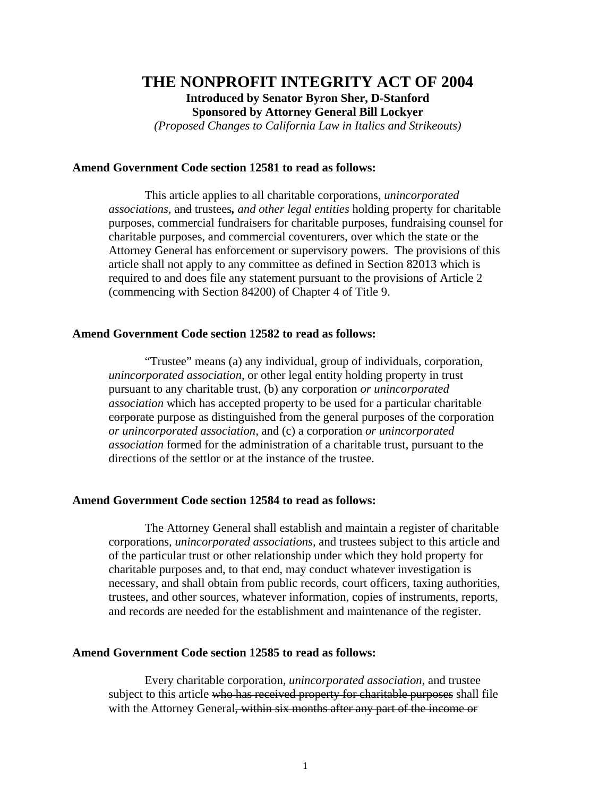# **THE NONPROFIT INTEGRITY ACT OF 2004 Introduced by Senator Byron Sher, D-Stanford Sponsored by Attorney General Bill Lockyer**

*(Proposed Changes to California Law in Italics and Strikeouts)* 

## **Amend Government Code section 12581 to read as follows:**

 This article applies to all charitable corporations, *unincorporated associations,* and trustees*, and other legal entities* holding property for charitable purposes, commercial fundraisers for charitable purposes, fundraising counsel for charitable purposes, and commercial coventurers, over which the state or the Attorney General has enforcement or supervisory powers. The provisions of this article shall not apply to any committee as defined in Section 82013 which is required to and does file any statement pursuant to the provisions of Article 2 (commencing with Section 84200) of Chapter 4 of Title 9.

#### **Amend Government Code section 12582 to read as follows:**

 "Trustee" means (a) any individual, group of individuals, corporation, *unincorporated association,* or other legal entity holding property in trust pursuant to any charitable trust, (b) any corporation *or unincorporated association* which has accepted property to be used for a particular charitable corporate purpose as distinguished from the general purposes of the corporation *or unincorporated association*, and (c) a corporation *or unincorporated association* formed for the administration of a charitable trust, pursuant to the directions of the settlor or at the instance of the trustee.

## **Amend Government Code section 12584 to read as follows:**

 The Attorney General shall establish and maintain a register of charitable corporations*, unincorporated associations,* and trustees subject to this article and of the particular trust or other relationship under which they hold property for charitable purposes and, to that end, may conduct whatever investigation is necessary, and shall obtain from public records, court officers, taxing authorities, trustees, and other sources, whatever information, copies of instruments, reports, and records are needed for the establishment and maintenance of the register.

#### **Amend Government Code section 12585 to read as follows:**

 Every charitable corporation*, unincorporated association,* and trustee subject to this article who has received property for charitable purposes shall file with the Attorney General, within six months after any part of the income or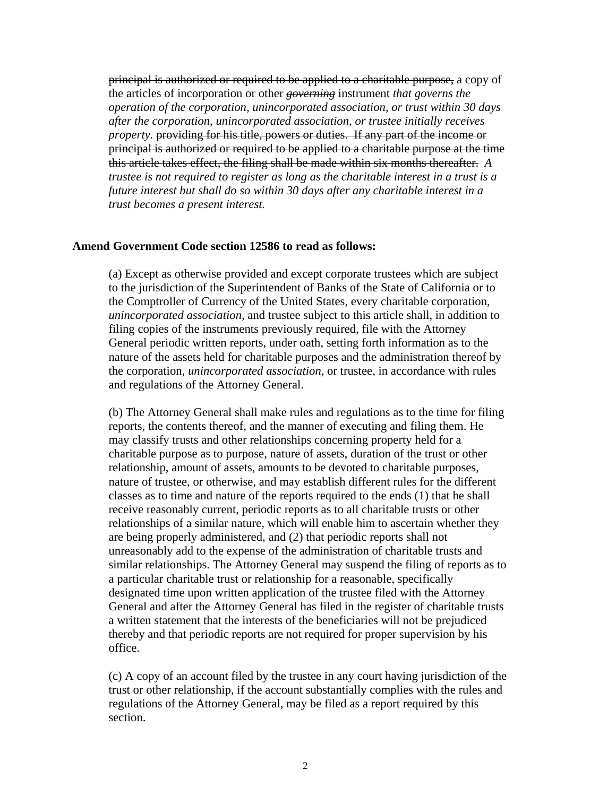principal is authorized or required to be applied to a charitable purpose, a copy of the articles of incorporation or other *governing* instrument *that governs the operation of the corporation, unincorporated association, or trust within 30 days after the corporation, unincorporated association, or trustee initially receives property*, providing for his title, powers or duties. If any part of the income or principal is authorized or required to be applied to a charitable purpose at the time this article takes effect, the filing shall be made within six months thereafter. *A trustee is not required to register as long as the charitable interest in a trust is a future interest but shall do so within 30 days after any charitable interest in a trust becomes a present interest.*

#### **Amend Government Code section 12586 to read as follows:**

(a) Except as otherwise provided and except corporate trustees which are subject to the jurisdiction of the Superintendent of Banks of the State of California or to the Comptroller of Currency of the United States, every charitable corporation*, unincorporated association,* and trustee subject to this article shall, in addition to filing copies of the instruments previously required, file with the Attorney General periodic written reports, under oath, setting forth information as to the nature of the assets held for charitable purposes and the administration thereof by the corporation*, unincorporated association,* or trustee, in accordance with rules and regulations of the Attorney General.

(b) The Attorney General shall make rules and regulations as to the time for filing reports, the contents thereof, and the manner of executing and filing them. He may classify trusts and other relationships concerning property held for a charitable purpose as to purpose, nature of assets, duration of the trust or other relationship, amount of assets, amounts to be devoted to charitable purposes, nature of trustee, or otherwise, and may establish different rules for the different classes as to time and nature of the reports required to the ends (1) that he shall receive reasonably current, periodic reports as to all charitable trusts or other relationships of a similar nature, which will enable him to ascertain whether they are being properly administered, and (2) that periodic reports shall not unreasonably add to the expense of the administration of charitable trusts and similar relationships. The Attorney General may suspend the filing of reports as to a particular charitable trust or relationship for a reasonable, specifically designated time upon written application of the trustee filed with the Attorney General and after the Attorney General has filed in the register of charitable trusts a written statement that the interests of the beneficiaries will not be prejudiced thereby and that periodic reports are not required for proper supervision by his office.

(c) A copy of an account filed by the trustee in any court having jurisdiction of the trust or other relationship, if the account substantially complies with the rules and regulations of the Attorney General, may be filed as a report required by this section.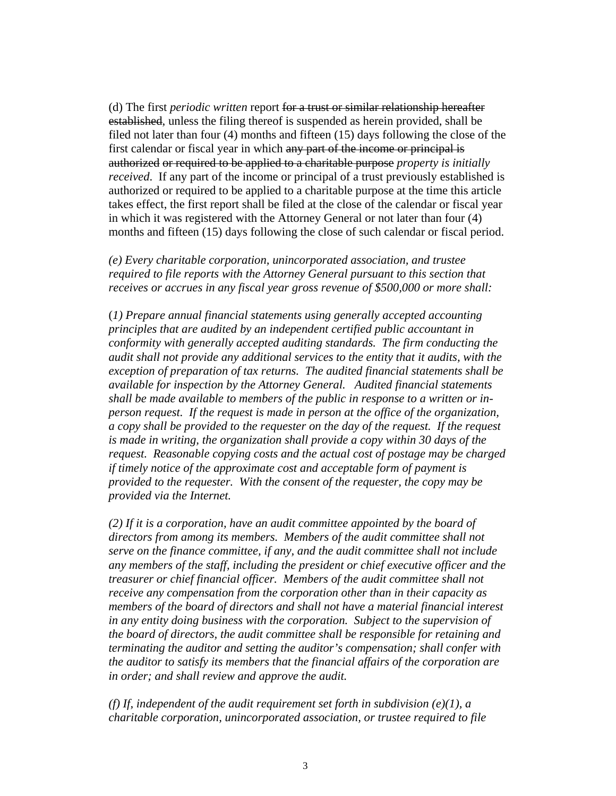(d) The first *periodic written* report for a trust or similar relationship hereafter established, unless the filing thereof is suspended as herein provided, shall be filed not later than four (4) months and fifteen (15) days following the close of the first calendar or fiscal year in which any part of the income or principal is authorized or required to be applied to a charitable purpose *property is initially received*. If any part of the income or principal of a trust previously established is authorized or required to be applied to a charitable purpose at the time this article takes effect, the first report shall be filed at the close of the calendar or fiscal year in which it was registered with the Attorney General or not later than four (4) months and fifteen (15) days following the close of such calendar or fiscal period.

*(e) Every charitable corporation, unincorporated association, and trustee required to file reports with the Attorney General pursuant to this section that receives or accrues in any fiscal year gross revenue of \$500,000 or more shall:*

(*1) Prepare annual financial statements using generally accepted accounting principles that are audited by an independent certified public accountant in conformity with generally accepted auditing standards. The firm conducting the audit shall not provide any additional services to the entity that it audits, with the exception of preparation of tax returns. The audited financial statements shall be available for inspection by the Attorney General. Audited financial statements shall be made available to members of the public in response to a written or inperson request. If the request is made in person at the office of the organization, a copy shall be provided to the requester on the day of the request. If the request is made in writing, the organization shall provide a copy within 30 days of the request. Reasonable copying costs and the actual cost of postage may be charged if timely notice of the approximate cost and acceptable form of payment is provided to the requester. With the consent of the requester, the copy may be provided via the Internet.* 

*(2) If it is a corporation, have an audit committee appointed by the board of directors from among its members. Members of the audit committee shall not serve on the finance committee, if any, and the audit committee shall not include any members of the staff, including the president or chief executive officer and the treasurer or chief financial officer. Members of the audit committee shall not receive any compensation from the corporation other than in their capacity as members of the board of directors and shall not have a material financial interest in any entity doing business with the corporation. Subject to the supervision of the board of directors, the audit committee shall be responsible for retaining and terminating the auditor and setting the auditor's compensation; shall confer with the auditor to satisfy its members that the financial affairs of the corporation are in order; and shall review and approve the audit.*

*(f) If, independent of the audit requirement set forth in subdivision (e)(1), a charitable corporation, unincorporated association, or trustee required to file*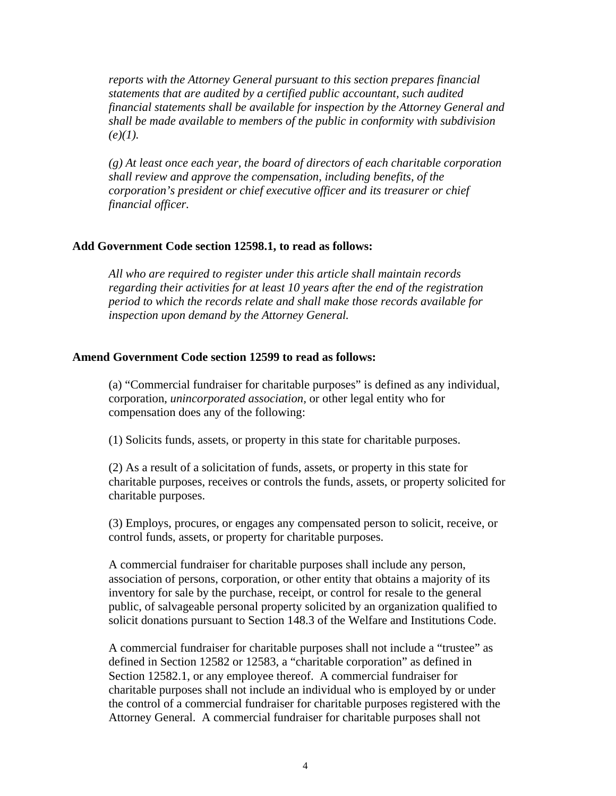*reports with the Attorney General pursuant to this section prepares financial statements that are audited by a certified public accountant, such audited financial statements shall be available for inspection by the Attorney General and shall be made available to members of the public in conformity with subdivision*   $(e)(1)$ .

*(g) At least once each year, the board of directors of each charitable corporation shall review and approve the compensation, including benefits, of the corporation's president or chief executive officer and its treasurer or chief financial officer.*

# **Add Government Code section 12598.1, to read as follows:**

*All who are required to register under this article shall maintain records regarding their activities for at least 10 years after the end of the registration period to which the records relate and shall make those records available for inspection upon demand by the Attorney General.* 

# **Amend Government Code section 12599 to read as follows:**

(a) "Commercial fundraiser for charitable purposes" is defined as any individual, corporation, *unincorporated association,* or other legal entity who for compensation does any of the following:

(1) Solicits funds, assets, or property in this state for charitable purposes.

(2) As a result of a solicitation of funds, assets, or property in this state for charitable purposes, receives or controls the funds, assets, or property solicited for charitable purposes.

(3) Employs, procures, or engages any compensated person to solicit, receive, or control funds, assets, or property for charitable purposes.

A commercial fundraiser for charitable purposes shall include any person, association of persons, corporation, or other entity that obtains a majority of its inventory for sale by the purchase, receipt, or control for resale to the general public, of salvageable personal property solicited by an organization qualified to solicit donations pursuant to Section 148.3 of the Welfare and Institutions Code.

A commercial fundraiser for charitable purposes shall not include a "trustee" as defined in Section 12582 or 12583, a "charitable corporation" as defined in Section 12582.1, or any employee thereof. A commercial fundraiser for charitable purposes shall not include an individual who is employed by or under the control of a commercial fundraiser for charitable purposes registered with the Attorney General. A commercial fundraiser for charitable purposes shall not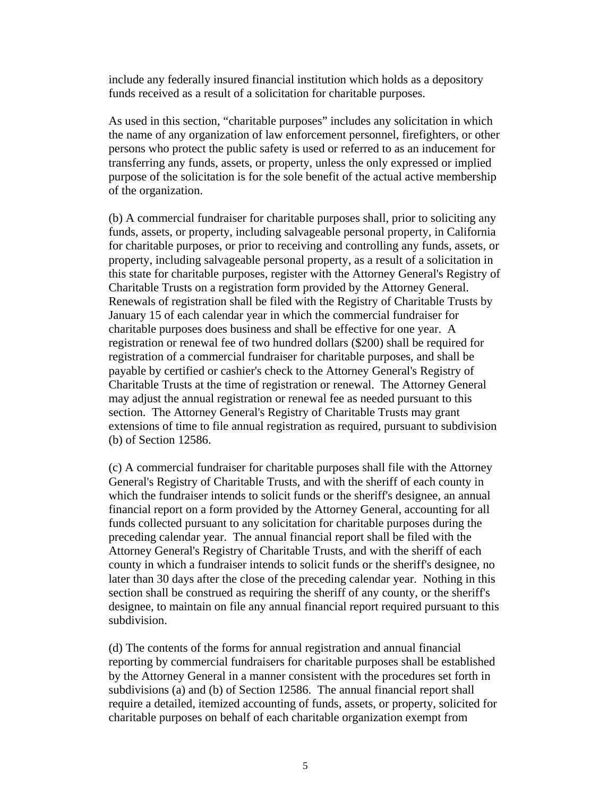include any federally insured financial institution which holds as a depository funds received as a result of a solicitation for charitable purposes.

As used in this section, "charitable purposes" includes any solicitation in which the name of any organization of law enforcement personnel, firefighters, or other persons who protect the public safety is used or referred to as an inducement for transferring any funds, assets, or property, unless the only expressed or implied purpose of the solicitation is for the sole benefit of the actual active membership of the organization.

(b) A commercial fundraiser for charitable purposes shall, prior to soliciting any funds, assets, or property, including salvageable personal property, in California for charitable purposes, or prior to receiving and controlling any funds, assets, or property, including salvageable personal property, as a result of a solicitation in this state for charitable purposes, register with the Attorney General's Registry of Charitable Trusts on a registration form provided by the Attorney General. Renewals of registration shall be filed with the Registry of Charitable Trusts by January 15 of each calendar year in which the commercial fundraiser for charitable purposes does business and shall be effective for one year. A registration or renewal fee of two hundred dollars (\$200) shall be required for registration of a commercial fundraiser for charitable purposes, and shall be payable by certified or cashier's check to the Attorney General's Registry of Charitable Trusts at the time of registration or renewal. The Attorney General may adjust the annual registration or renewal fee as needed pursuant to this section. The Attorney General's Registry of Charitable Trusts may grant extensions of time to file annual registration as required, pursuant to subdivision (b) of Section 12586.

(c) A commercial fundraiser for charitable purposes shall file with the Attorney General's Registry of Charitable Trusts, and with the sheriff of each county in which the fundraiser intends to solicit funds or the sheriff's designee, an annual financial report on a form provided by the Attorney General, accounting for all funds collected pursuant to any solicitation for charitable purposes during the preceding calendar year. The annual financial report shall be filed with the Attorney General's Registry of Charitable Trusts, and with the sheriff of each county in which a fundraiser intends to solicit funds or the sheriff's designee, no later than 30 days after the close of the preceding calendar year. Nothing in this section shall be construed as requiring the sheriff of any county, or the sheriff's designee, to maintain on file any annual financial report required pursuant to this subdivision.

(d) The contents of the forms for annual registration and annual financial reporting by commercial fundraisers for charitable purposes shall be established by the Attorney General in a manner consistent with the procedures set forth in subdivisions (a) and (b) of Section 12586. The annual financial report shall require a detailed, itemized accounting of funds, assets, or property, solicited for charitable purposes on behalf of each charitable organization exempt from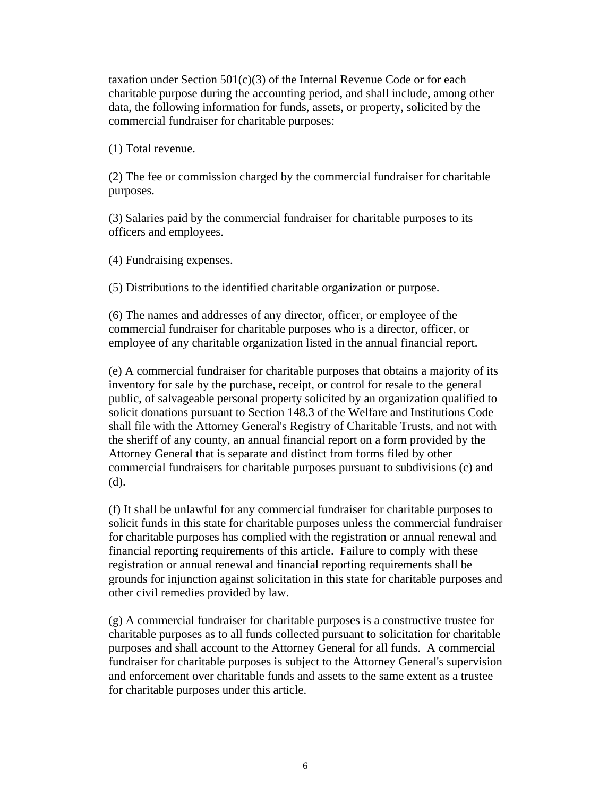taxation under Section  $501(c)(3)$  of the Internal Revenue Code or for each charitable purpose during the accounting period, and shall include, among other data, the following information for funds, assets, or property, solicited by the commercial fundraiser for charitable purposes:

(1) Total revenue.

(2) The fee or commission charged by the commercial fundraiser for charitable purposes.

(3) Salaries paid by the commercial fundraiser for charitable purposes to its officers and employees.

(4) Fundraising expenses.

(5) Distributions to the identified charitable organization or purpose.

(6) The names and addresses of any director, officer, or employee of the commercial fundraiser for charitable purposes who is a director, officer, or employee of any charitable organization listed in the annual financial report.

(e) A commercial fundraiser for charitable purposes that obtains a majority of its inventory for sale by the purchase, receipt, or control for resale to the general public, of salvageable personal property solicited by an organization qualified to solicit donations pursuant to Section 148.3 of the Welfare and Institutions Code shall file with the Attorney General's Registry of Charitable Trusts, and not with the sheriff of any county, an annual financial report on a form provided by the Attorney General that is separate and distinct from forms filed by other commercial fundraisers for charitable purposes pursuant to subdivisions (c) and (d).

(f) It shall be unlawful for any commercial fundraiser for charitable purposes to solicit funds in this state for charitable purposes unless the commercial fundraiser for charitable purposes has complied with the registration or annual renewal and financial reporting requirements of this article. Failure to comply with these registration or annual renewal and financial reporting requirements shall be grounds for injunction against solicitation in this state for charitable purposes and other civil remedies provided by law.

(g) A commercial fundraiser for charitable purposes is a constructive trustee for charitable purposes as to all funds collected pursuant to solicitation for charitable purposes and shall account to the Attorney General for all funds. A commercial fundraiser for charitable purposes is subject to the Attorney General's supervision and enforcement over charitable funds and assets to the same extent as a trustee for charitable purposes under this article.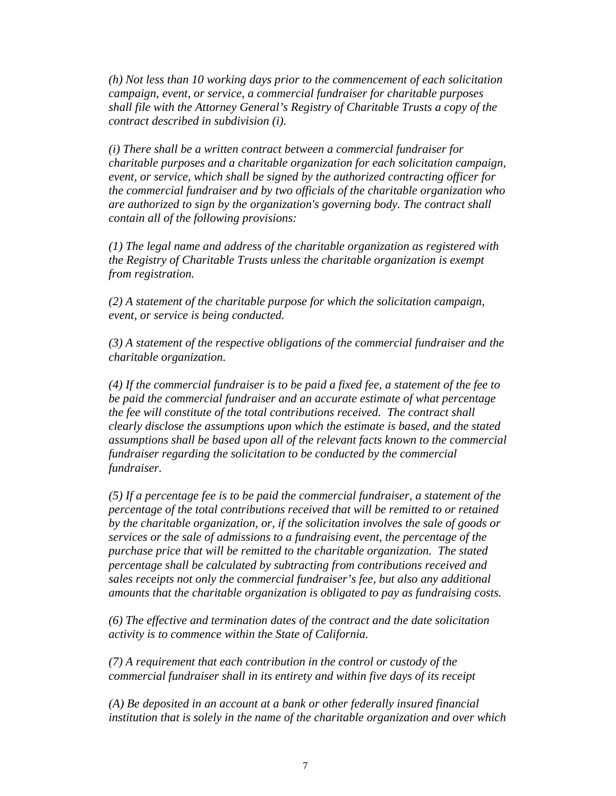*(h) Not less than 10 working days prior to the commencement of each solicitation campaign, event, or service, a commercial fundraiser for charitable purposes shall file with the Attorney General's Registry of Charitable Trusts a copy of the contract described in subdivision (i).* 

 *(i) There shall be a written contract between a commercial fundraiser for charitable purposes and a charitable organization for each solicitation campaign, event, or service, which shall be signed by the authorized contracting officer for the commercial fundraiser and by two officials of the charitable organization who are authorized to sign by the organization's governing body. The contract shall contain all of the following provisions:*

 *(1) The legal name and address of the charitable organization as registered with the Registry of Charitable Trusts unless the charitable organization is exempt from registration.* 

*(2) A statement of the charitable purpose for which the solicitation campaign, event, or service is being conducted.*

*(3) A statement of the respective obligations of the commercial fundraiser and the charitable organization.* 

*(4) If the commercial fundraiser is to be paid a fixed fee, a statement of the fee to be paid the commercial fundraiser and an accurate estimate of what percentage the fee will constitute of the total contributions received. The contract shall clearly disclose the assumptions upon which the estimate is based, and the stated assumptions shall be based upon all of the relevant facts known to the commercial fundraiser regarding the solicitation to be conducted by the commercial fundraiser.* 

*(5) If a percentage fee is to be paid the commercial fundraiser, a statement of the percentage of the total contributions received that will be remitted to or retained by the charitable organization, or, if the solicitation involves the sale of goods or services or the sale of admissions to a fundraising event, the percentage of the purchase price that will be remitted to the charitable organization. The stated percentage shall be calculated by subtracting from contributions received and sales receipts not only the commercial fundraiser's fee, but also any additional amounts that the charitable organization is obligated to pay as fundraising costs.*

*(6) The effective and termination dates of the contract and the date solicitation activity is to commence within the State of California.*

*(7) A requirement that each contribution in the control or custody of the commercial fundraiser shall in its entirety and within five days of its receipt* 

*(A) Be deposited in an account at a bank or other federally insured financial institution that is solely in the name of the charitable organization and over which*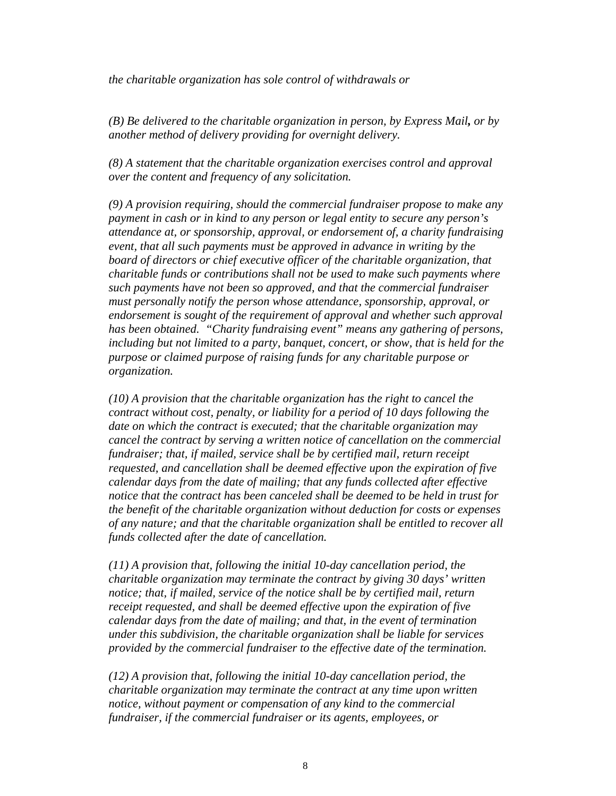*the charitable organization has sole control of withdrawals or* 

*(B) Be delivered to the charitable organization in person, by Express Mail, or by another method of delivery providing for overnight delivery.*

*(8) A statement that the charitable organization exercises control and approval over the content and frequency of any solicitation.*

*(9) A provision requiring, should the commercial fundraiser propose to make any payment in cash or in kind to any person or legal entity to secure any person's attendance at, or sponsorship, approval, or endorsement of, a charity fundraising event, that all such payments must be approved in advance in writing by the board of directors or chief executive officer of the charitable organization, that charitable funds or contributions shall not be used to make such payments where such payments have not been so approved, and that the commercial fundraiser must personally notify the person whose attendance, sponsorship, approval, or endorsement is sought of the requirement of approval and whether such approval has been obtained. "Charity fundraising event" means any gathering of persons, including but not limited to a party, banquet, concert, or show, that is held for the purpose or claimed purpose of raising funds for any charitable purpose or organization.*

*(10) A provision that the charitable organization has the right to cancel the contract without cost, penalty, or liability for a period of 10 days following the date on which the contract is executed; that the charitable organization may cancel the contract by serving a written notice of cancellation on the commercial fundraiser; that, if mailed, service shall be by certified mail, return receipt requested, and cancellation shall be deemed effective upon the expiration of five calendar days from the date of mailing; that any funds collected after effective notice that the contract has been canceled shall be deemed to be held in trust for the benefit of the charitable organization without deduction for costs or expenses of any nature; and that the charitable organization shall be entitled to recover all funds collected after the date of cancellation.* 

*(11) A provision that, following the initial 10-day cancellation period, the charitable organization may terminate the contract by giving 30 days' written notice; that, if mailed, service of the notice shall be by certified mail, return receipt requested, and shall be deemed effective upon the expiration of five calendar days from the date of mailing; and that, in the event of termination under this subdivision, the charitable organization shall be liable for services provided by the commercial fundraiser to the effective date of the termination.*

*(12) A provision that, following the initial 10-day cancellation period, the charitable organization may terminate the contract at any time upon written notice, without payment or compensation of any kind to the commercial fundraiser, if the commercial fundraiser or its agents, employees, or*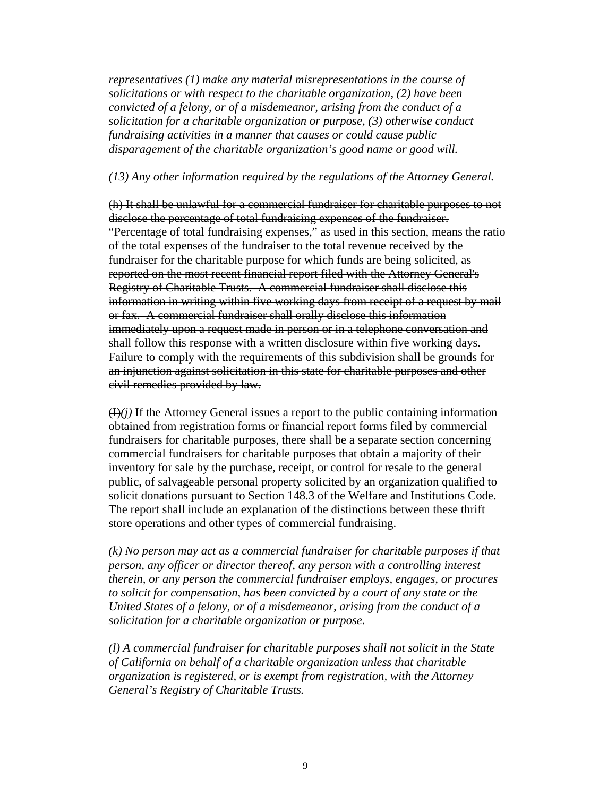*representatives (1) make any material misrepresentations in the course of solicitations or with respect to the charitable organization, (2) have been convicted of a felony, or of a misdemeanor, arising from the conduct of a solicitation for a charitable organization or purpose, (3) otherwise conduct fundraising activities in a manner that causes or could cause public disparagement of the charitable organization's good name or good will.*

## *(13) Any other information required by the regulations of the Attorney General.*

(h) It shall be unlawful for a commercial fundraiser for charitable purposes to not disclose the percentage of total fundraising expenses of the fundraiser. "Percentage of total fundraising expenses," as used in this section, means the ratio of the total expenses of the fundraiser to the total revenue received by the fundraiser for the charitable purpose for which funds are being solicited, as reported on the most recent financial report filed with the Attorney General's Registry of Charitable Trusts. A commercial fundraiser shall disclose this information in writing within five working days from receipt of a request by mail or fax. A commercial fundraiser shall orally disclose this information immediately upon a request made in person or in a telephone conversation and shall follow this response with a written disclosure within five working days. Failure to comply with the requirements of this subdivision shall be grounds for an injunction against solicitation in this state for charitable purposes and other civil remedies provided by law.

 $(H)$ *(i)* If the Attorney General issues a report to the public containing information obtained from registration forms or financial report forms filed by commercial fundraisers for charitable purposes, there shall be a separate section concerning commercial fundraisers for charitable purposes that obtain a majority of their inventory for sale by the purchase, receipt, or control for resale to the general public, of salvageable personal property solicited by an organization qualified to solicit donations pursuant to Section 148.3 of the Welfare and Institutions Code. The report shall include an explanation of the distinctions between these thrift store operations and other types of commercial fundraising.

 *(k) No person may act as a commercial fundraiser for charitable purposes if that person, any officer or director thereof, any person with a controlling interest therein, or any person the commercial fundraiser employs, engages, or procures to solicit for compensation, has been convicted by a court of any state or the United States of a felony, or of a misdemeanor, arising from the conduct of a solicitation for a charitable organization or purpose.* 

 *(l) A commercial fundraiser for charitable purposes shall not solicit in the State of California on behalf of a charitable organization unless that charitable organization is registered, or is exempt from registration, with the Attorney General's Registry of Charitable Trusts.*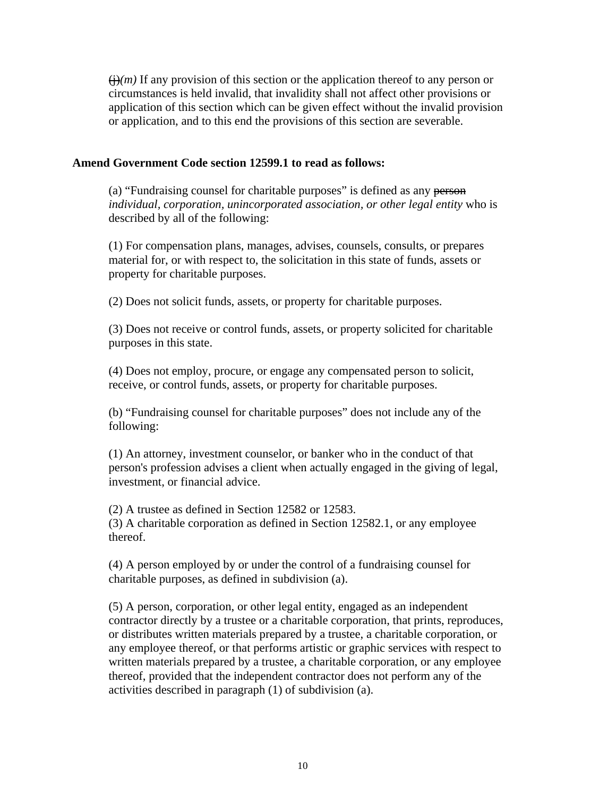$\left(\frac{1}{2}(m)\right)$  If any provision of this section or the application thereof to any person or circumstances is held invalid, that invalidity shall not affect other provisions or application of this section which can be given effect without the invalid provision or application, and to this end the provisions of this section are severable.

## **Amend Government Code section 12599.1 to read as follows:**

(a) "Fundraising counsel for charitable purposes" is defined as any person *individual, corporation, unincorporated association, or other legal entity* who is described by all of the following:

(1) For compensation plans, manages, advises, counsels, consults, or prepares material for, or with respect to, the solicitation in this state of funds, assets or property for charitable purposes.

(2) Does not solicit funds, assets, or property for charitable purposes.

(3) Does not receive or control funds, assets, or property solicited for charitable purposes in this state.

(4) Does not employ, procure, or engage any compensated person to solicit, receive, or control funds, assets, or property for charitable purposes.

(b) "Fundraising counsel for charitable purposes" does not include any of the following:

(1) An attorney, investment counselor, or banker who in the conduct of that person's profession advises a client when actually engaged in the giving of legal, investment, or financial advice.

(2) A trustee as defined in Section 12582 or 12583. (3) A charitable corporation as defined in Section 12582.1, or any employee thereof.

(4) A person employed by or under the control of a fundraising counsel for charitable purposes, as defined in subdivision (a).

(5) A person, corporation, or other legal entity, engaged as an independent contractor directly by a trustee or a charitable corporation, that prints, reproduces, or distributes written materials prepared by a trustee, a charitable corporation, or any employee thereof, or that performs artistic or graphic services with respect to written materials prepared by a trustee, a charitable corporation, or any employee thereof, provided that the independent contractor does not perform any of the activities described in paragraph (1) of subdivision (a).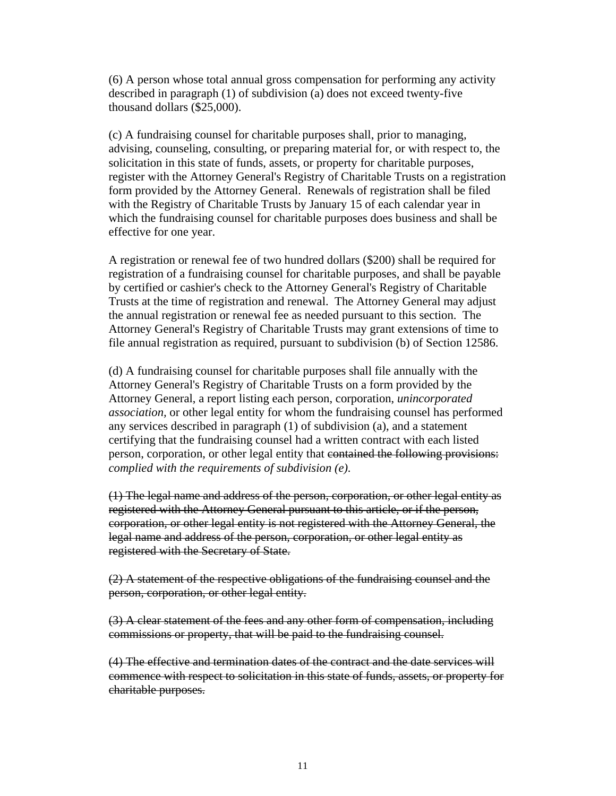(6) A person whose total annual gross compensation for performing any activity described in paragraph (1) of subdivision (a) does not exceed twenty-five thousand dollars (\$25,000).

(c) A fundraising counsel for charitable purposes shall, prior to managing, advising, counseling, consulting, or preparing material for, or with respect to, the solicitation in this state of funds, assets, or property for charitable purposes, register with the Attorney General's Registry of Charitable Trusts on a registration form provided by the Attorney General. Renewals of registration shall be filed with the Registry of Charitable Trusts by January 15 of each calendar year in which the fundraising counsel for charitable purposes does business and shall be effective for one year.

A registration or renewal fee of two hundred dollars (\$200) shall be required for registration of a fundraising counsel for charitable purposes, and shall be payable by certified or cashier's check to the Attorney General's Registry of Charitable Trusts at the time of registration and renewal. The Attorney General may adjust the annual registration or renewal fee as needed pursuant to this section. The Attorney General's Registry of Charitable Trusts may grant extensions of time to file annual registration as required, pursuant to subdivision (b) of Section 12586.

(d) A fundraising counsel for charitable purposes shall file annually with the Attorney General's Registry of Charitable Trusts on a form provided by the Attorney General, a report listing each person, corporation, *unincorporated association,* or other legal entity for whom the fundraising counsel has performed any services described in paragraph (1) of subdivision (a), and a statement certifying that the fundraising counsel had a written contract with each listed person, corporation, or other legal entity that contained the following provisions: *complied with the requirements of subdivision (e).*

(1) The legal name and address of the person, corporation, or other legal entity as registered with the Attorney General pursuant to this article, or if the person, corporation, or other legal entity is not registered with the Attorney General, the legal name and address of the person, corporation, or other legal entity as registered with the Secretary of State.

(2) A statement of the respective obligations of the fundraising counsel and the person, corporation, or other legal entity.

(3) A clear statement of the fees and any other form of compensation, including commissions or property, that will be paid to the fundraising counsel.

(4) The effective and termination dates of the contract and the date services will commence with respect to solicitation in this state of funds, assets, or property for charitable purposes.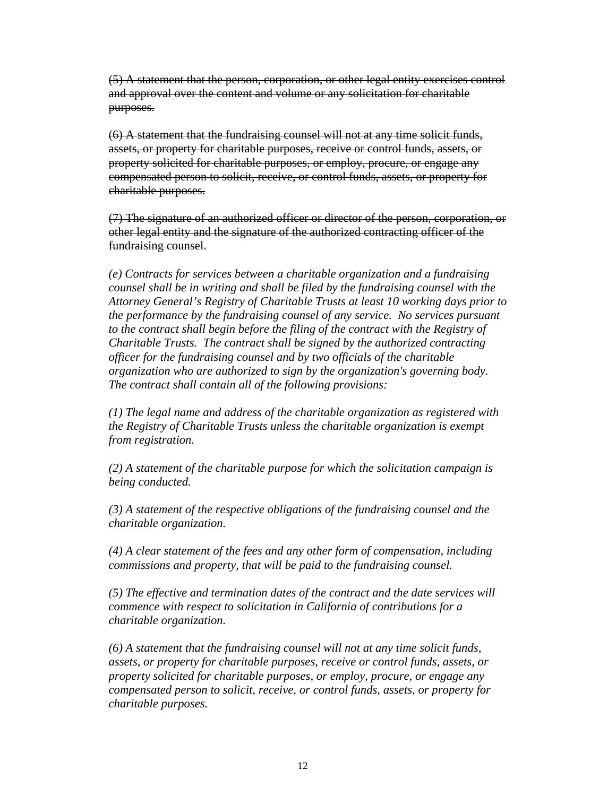(5) A statement that the person, corporation, or other legal entity exercises control and approval over the content and volume or any solicitation for charitable purposes.

(6) A statement that the fundraising counsel will not at any time solicit funds, assets, or property for charitable purposes, receive or control funds, assets, or property solicited for charitable purposes, or employ, procure, or engage any compensated person to solicit, receive, or control funds, assets, or property for charitable purposes.

(7) The signature of an authorized officer or director of the person, corporation, or other legal entity and the signature of the authorized contracting officer of the fundraising counsel.

 *(e) Contracts for services between a charitable organization and a fundraising counsel shall be in writing and shall be filed by the fundraising counsel with the Attorney General's Registry of Charitable Trusts at least 10 working days prior to the performance by the fundraising counsel of any service. No services pursuant*  to the contract shall begin before the filing of the contract with the Registry of *Charitable Trusts. The contract shall be signed by the authorized contracting officer for the fundraising counsel and by two officials of the charitable organization who are authorized to sign by the organization's governing body. The contract shall contain all of the following provisions:* 

 *(1) The legal name and address of the charitable organization as registered with the Registry of Charitable Trusts unless the charitable organization is exempt from registration.* 

*(2) A statement of the charitable purpose for which the solicitation campaign is being conducted.* 

*(3) A statement of the respective obligations of the fundraising counsel and the charitable organization.* 

*(4) A clear statement of the fees and any other form of compensation, including commissions and property, that will be paid to the fundraising counsel.* 

*(5) The effective and termination dates of the contract and the date services will commence with respect to solicitation in California of contributions for a charitable organization.* 

 *(6) A statement that the fundraising counsel will not at any time solicit funds, assets, or property for charitable purposes, receive or control funds, assets, or property solicited for charitable purposes, or employ, procure, or engage any compensated person to solicit, receive, or control funds, assets, or property for charitable purposes.*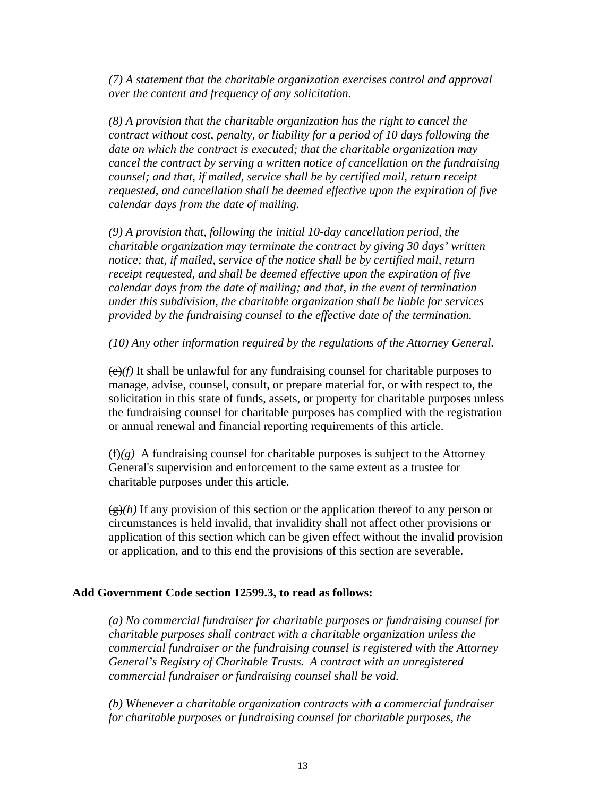*(7) A statement that the charitable organization exercises control and approval over the content and frequency of any solicitation.* 

*(8) A provision that the charitable organization has the right to cancel the contract without cost, penalty, or liability for a period of 10 days following the date on which the contract is executed; that the charitable organization may cancel the contract by serving a written notice of cancellation on the fundraising counsel; and that, if mailed, service shall be by certified mail, return receipt requested, and cancellation shall be deemed effective upon the expiration of five calendar days from the date of mailing.* 

*(9) A provision that, following the initial 10-day cancellation period, the charitable organization may terminate the contract by giving 30 days' written notice; that, if mailed, service of the notice shall be by certified mail, return receipt requested, and shall be deemed effective upon the expiration of five calendar days from the date of mailing; and that, in the event of termination under this subdivision, the charitable organization shall be liable for services provided by the fundraising counsel to the effective date of the termination.* 

*(10) Any other information required by the regulations of the Attorney General.* 

(e)*(f)* It shall be unlawful for any fundraising counsel for charitable purposes to manage, advise, counsel, consult, or prepare material for, or with respect to, the solicitation in this state of funds, assets, or property for charitable purposes unless the fundraising counsel for charitable purposes has complied with the registration or annual renewal and financial reporting requirements of this article.

 $(f(x))$  A fundraising counsel for charitable purposes is subject to the Attorney General's supervision and enforcement to the same extent as a trustee for charitable purposes under this article.

 $\left(\frac{\alpha}{\beta}\right)$  If any provision of this section or the application thereof to any person or circumstances is held invalid, that invalidity shall not affect other provisions or application of this section which can be given effect without the invalid provision or application, and to this end the provisions of this section are severable.

#### **Add Government Code section 12599.3, to read as follows:**

 *(a) No commercial fundraiser for charitable purposes or fundraising counsel for charitable purposes shall contract with a charitable organization unless the commercial fundraiser or the fundraising counsel is registered with the Attorney General's Registry of Charitable Trusts. A contract with an unregistered commercial fundraiser or fundraising counsel shall be void.* 

*(b) Whenever a charitable organization contracts with a commercial fundraiser for charitable purposes or fundraising counsel for charitable purposes, the*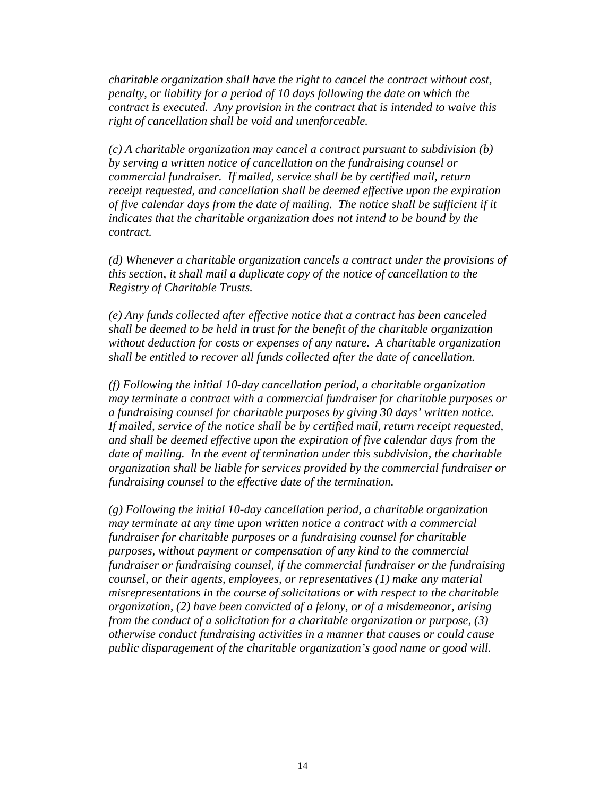*charitable organization shall have the right to cancel the contract without cost, penalty, or liability for a period of 10 days following the date on which the contract is executed. Any provision in the contract that is intended to waive this right of cancellation shall be void and unenforceable.* 

*(c) A charitable organization may cancel a contract pursuant to subdivision (b) by serving a written notice of cancellation on the fundraising counsel or commercial fundraiser. If mailed, service shall be by certified mail, return receipt requested, and cancellation shall be deemed effective upon the expiration of five calendar days from the date of mailing. The notice shall be sufficient if it indicates that the charitable organization does not intend to be bound by the contract.* 

*(d) Whenever a charitable organization cancels a contract under the provisions of this section, it shall mail a duplicate copy of the notice of cancellation to the Registry of Charitable Trusts.*

 *(e) Any funds collected after effective notice that a contract has been canceled shall be deemed to be held in trust for the benefit of the charitable organization without deduction for costs or expenses of any nature. A charitable organization shall be entitled to recover all funds collected after the date of cancellation.*

*(f) Following the initial 10-day cancellation period, a charitable organization may terminate a contract with a commercial fundraiser for charitable purposes or a fundraising counsel for charitable purposes by giving 30 days' written notice. If mailed, service of the notice shall be by certified mail, return receipt requested, and shall be deemed effective upon the expiration of five calendar days from the date of mailing. In the event of termination under this subdivision, the charitable organization shall be liable for services provided by the commercial fundraiser or fundraising counsel to the effective date of the termination.*

*(g) Following the initial 10-day cancellation period, a charitable organization may terminate at any time upon written notice a contract with a commercial fundraiser for charitable purposes or a fundraising counsel for charitable purposes, without payment or compensation of any kind to the commercial fundraiser or fundraising counsel, if the commercial fundraiser or the fundraising counsel, or their agents, employees, or representatives (1) make any material misrepresentations in the course of solicitations or with respect to the charitable organization, (2) have been convicted of a felony, or of a misdemeanor, arising from the conduct of a solicitation for a charitable organization or purpose, (3) otherwise conduct fundraising activities in a manner that causes or could cause public disparagement of the charitable organization's good name or good will.*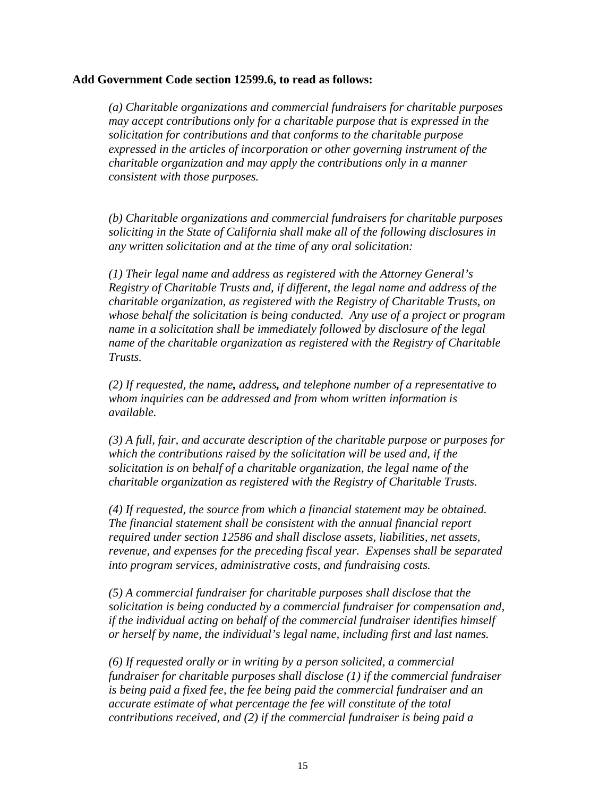# **Add Government Code section 12599.6, to read as follows:**

 *(a) Charitable organizations and commercial fundraisers for charitable purposes may accept contributions only for a charitable purpose that is expressed in the solicitation for contributions and that conforms to the charitable purpose expressed in the articles of incorporation or other governing instrument of the charitable organization and may apply the contributions only in a manner consistent with those purposes.* 

*(b) Charitable organizations and commercial fundraisers for charitable purposes soliciting in the State of California shall make all of the following disclosures in any written solicitation and at the time of any oral solicitation:*

 *(1) Their legal name and address as registered with the Attorney General's Registry of Charitable Trusts and, if different, the legal name and address of the charitable organization, as registered with the Registry of Charitable Trusts, on whose behalf the solicitation is being conducted. Any use of a project or program name in a solicitation shall be immediately followed by disclosure of the legal name of the charitable organization as registered with the Registry of Charitable Trusts.* 

*(2) If requested, the name, address, and telephone number of a representative to whom inquiries can be addressed and from whom written information is available.* 

*(3) A full, fair, and accurate description of the charitable purpose or purposes for which the contributions raised by the solicitation will be used and, if the solicitation is on behalf of a charitable organization, the legal name of the charitable organization as registered with the Registry of Charitable Trusts.*

*(4) If requested, the source from which a financial statement may be obtained. The financial statement shall be consistent with the annual financial report required under section 12586 and shall disclose assets, liabilities, net assets, revenue, and expenses for the preceding fiscal year. Expenses shall be separated into program services, administrative costs, and fundraising costs.*

*(5) A commercial fundraiser for charitable purposes shall disclose that the solicitation is being conducted by a commercial fundraiser for compensation and, if the individual acting on behalf of the commercial fundraiser identifies himself or herself by name, the individual's legal name, including first and last names.* 

*(6) If requested orally or in writing by a person solicited, a commercial fundraiser for charitable purposes shall disclose (1) if the commercial fundraiser is being paid a fixed fee, the fee being paid the commercial fundraiser and an accurate estimate of what percentage the fee will constitute of the total contributions received, and (2) if the commercial fundraiser is being paid a*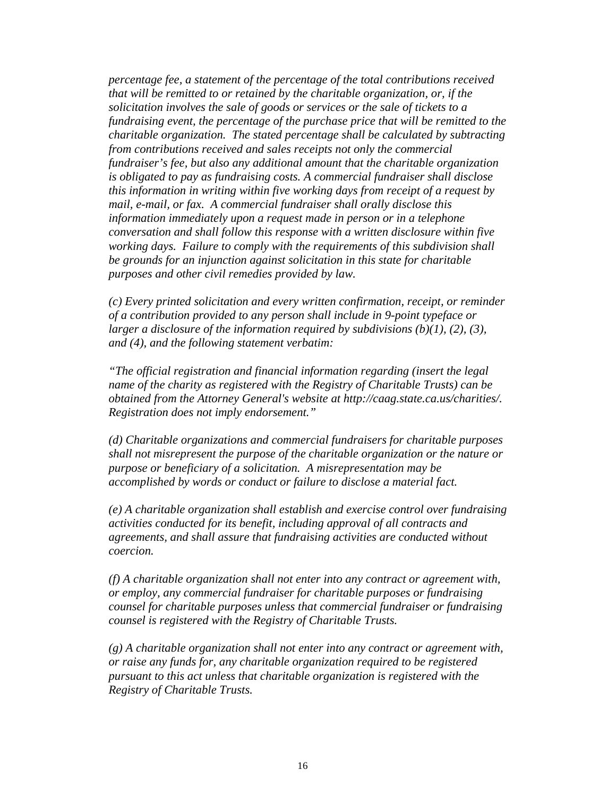*percentage fee, a statement of the percentage of the total contributions received that will be remitted to or retained by the charitable organization, or, if the solicitation involves the sale of goods or services or the sale of tickets to a fundraising event, the percentage of the purchase price that will be remitted to the charitable organization. The stated percentage shall be calculated by subtracting from contributions received and sales receipts not only the commercial fundraiser's fee, but also any additional amount that the charitable organization is obligated to pay as fundraising costs. A commercial fundraiser shall disclose this information in writing within five working days from receipt of a request by mail, e-mail, or fax. A commercial fundraiser shall orally disclose this information immediately upon a request made in person or in a telephone conversation and shall follow this response with a written disclosure within five working days. Failure to comply with the requirements of this subdivision shall be grounds for an injunction against solicitation in this state for charitable purposes and other civil remedies provided by law.* 

*(c) Every printed solicitation and every written confirmation, receipt, or reminder of a contribution provided to any person shall include in 9-point typeface or larger a disclosure of the information required by subdivisions (b)(1), (2), (3), and (4), and the following statement verbatim:* 

*"The official registration and financial information regarding (insert the legal name of the charity as registered with the Registry of Charitable Trusts) can be obtained from the Attorney General's website at http://caag.state.ca.us/charities/. Registration does not imply endorsement."*

 *(d) Charitable organizations and commercial fundraisers for charitable purposes shall not misrepresent the purpose of the charitable organization or the nature or purpose or beneficiary of a solicitation. A misrepresentation may be accomplished by words or conduct or failure to disclose a material fact.* 

*(e) A charitable organization shall establish and exercise control over fundraising activities conducted for its benefit, including approval of all contracts and agreements, and shall assure that fundraising activities are conducted without coercion.* 

*(f) A charitable organization shall not enter into any contract or agreement with, or employ, any commercial fundraiser for charitable purposes or fundraising counsel for charitable purposes unless that commercial fundraiser or fundraising counsel is registered with the Registry of Charitable Trusts.* 

*(g) A charitable organization shall not enter into any contract or agreement with, or raise any funds for, any charitable organization required to be registered pursuant to this act unless that charitable organization is registered with the Registry of Charitable Trusts.*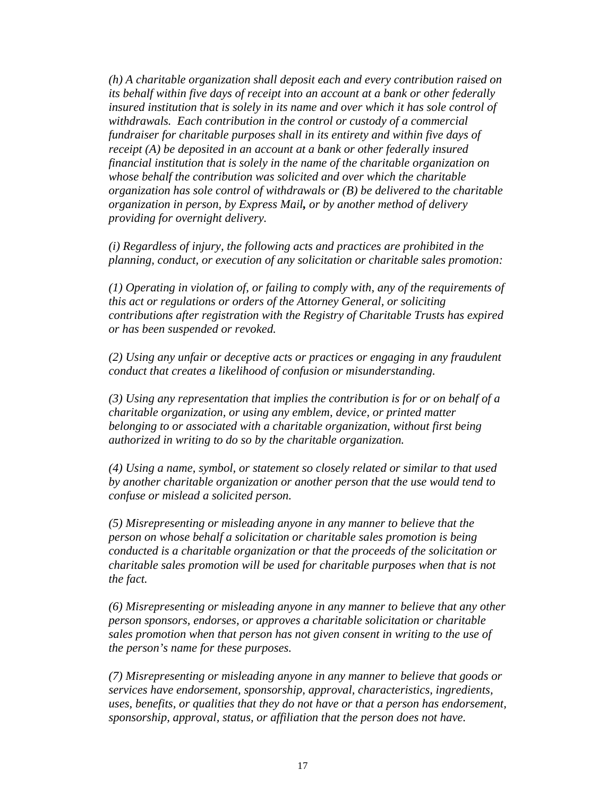*(h) A charitable organization shall deposit each and every contribution raised on its behalf within five days of receipt into an account at a bank or other federally*  insured institution that is solely in its name and over which it has sole control of *withdrawals. Each contribution in the control or custody of a commercial fundraiser for charitable purposes shall in its entirety and within five days of receipt (A) be deposited in an account at a bank or other federally insured financial institution that is solely in the name of the charitable organization on whose behalf the contribution was solicited and over which the charitable organization has sole control of withdrawals or (B) be delivered to the charitable organization in person, by Express Mail, or by another method of delivery providing for overnight delivery.*

 *(i) Regardless of injury, the following acts and practices are prohibited in the planning, conduct, or execution of any solicitation or charitable sales promotion:* 

*(1) Operating in violation of, or failing to comply with, any of the requirements of this act or regulations or orders of the Attorney General, or soliciting contributions after registration with the Registry of Charitable Trusts has expired or has been suspended or revoked.* 

*(2) Using any unfair or deceptive acts or practices or engaging in any fraudulent conduct that creates a likelihood of confusion or misunderstanding.* 

*(3) Using any representation that implies the contribution is for or on behalf of a charitable organization, or using any emblem, device, or printed matter belonging to or associated with a charitable organization, without first being authorized in writing to do so by the charitable organization.*

 *(4) Using a name, symbol, or statement so closely related or similar to that used by another charitable organization or another person that the use would tend to confuse or mislead a solicited person.* 

*(5) Misrepresenting or misleading anyone in any manner to believe that the person on whose behalf a solicitation or charitable sales promotion is being conducted is a charitable organization or that the proceeds of the solicitation or charitable sales promotion will be used for charitable purposes when that is not the fact.* 

*(6) Misrepresenting or misleading anyone in any manner to believe that any other person sponsors, endorses, or approves a charitable solicitation or charitable sales promotion when that person has not given consent in writing to the use of the person's name for these purposes.* 

*(7) Misrepresenting or misleading anyone in any manner to believe that goods or services have endorsement, sponsorship, approval, characteristics, ingredients, uses, benefits, or qualities that they do not have or that a person has endorsement, sponsorship, approval, status, or affiliation that the person does not have.*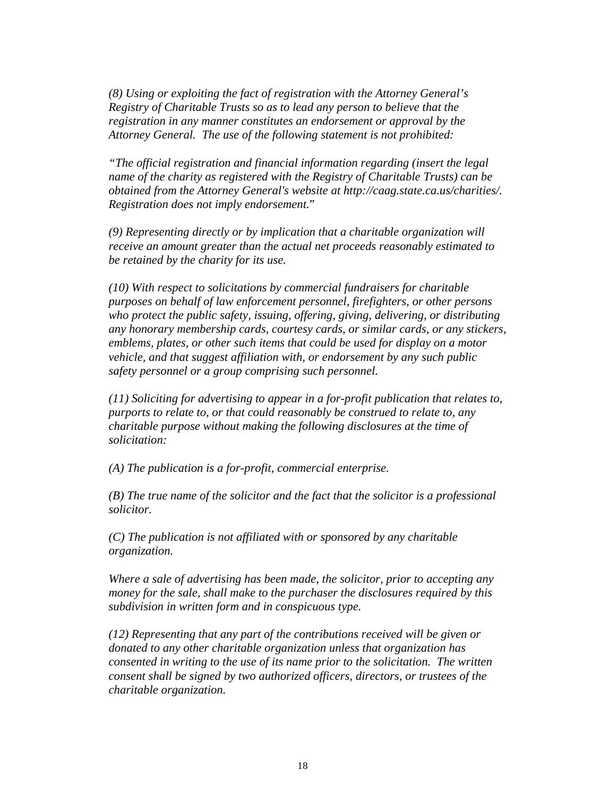*(8) Using or exploiting the fact of registration with the Attorney General's Registry of Charitable Trusts so as to lead any person to believe that the registration in any manner constitutes an endorsement or approval by the Attorney General. The use of the following statement is not prohibited:* 

*"The official registration and financial information regarding (insert the legal name of the charity as registered with the Registry of Charitable Trusts) can be obtained from the Attorney General's website at http://caag.state.ca.us/charities/. Registration does not imply endorsement.*"

 *(9) Representing directly or by implication that a charitable organization will receive an amount greater than the actual net proceeds reasonably estimated to be retained by the charity for its use.* 

*(10) With respect to solicitations by commercial fundraisers for charitable purposes on behalf of law enforcement personnel, firefighters, or other persons who protect the public safety, issuing, offering, giving, delivering, or distributing any honorary membership cards, courtesy cards, or similar cards, or any stickers, emblems, plates, or other such items that could be used for display on a motor vehicle, and that suggest affiliation with, or endorsement by any such public safety personnel or a group comprising such personnel.* 

*(11) Soliciting for advertising to appear in a for-profit publication that relates to, purports to relate to, or that could reasonably be construed to relate to, any charitable purpose without making the following disclosures at the time of solicitation:* 

 *(A) The publication is a for-profit, commercial enterprise.* 

*(B) The true name of the solicitor and the fact that the solicitor is a professional solicitor.* 

*(C) The publication is not affiliated with or sponsored by any charitable organization.* 

 *Where a sale of advertising has been made, the solicitor, prior to accepting any money for the sale, shall make to the purchaser the disclosures required by this subdivision in written form and in conspicuous type.*

 *(12) Representing that any part of the contributions received will be given or donated to any other charitable organization unless that organization has consented in writing to the use of its name prior to the solicitation. The written consent shall be signed by two authorized officers, directors, or trustees of the charitable organization.*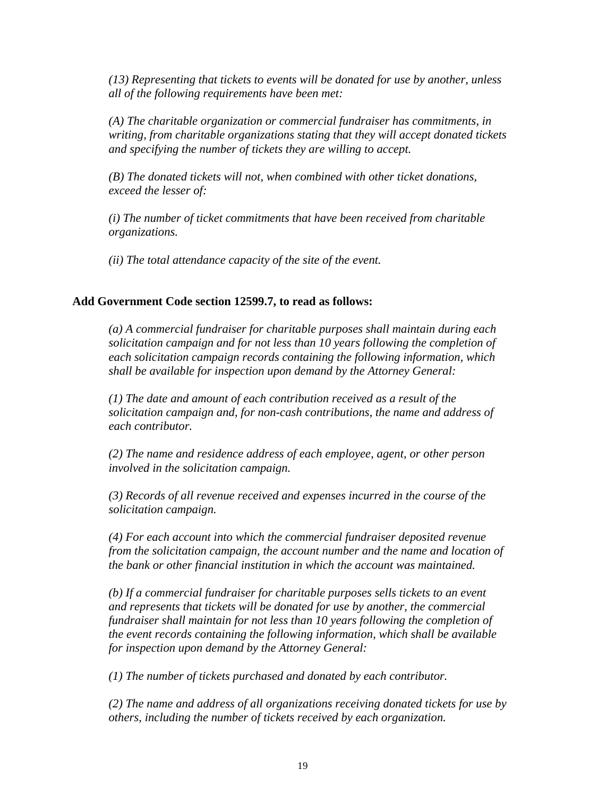*(13) Representing that tickets to events will be donated for use by another, unless all of the following requirements have been met:* 

*(A) The charitable organization or commercial fundraiser has commitments, in writing, from charitable organizations stating that they will accept donated tickets and specifying the number of tickets they are willing to accept.* 

*(B) The donated tickets will not, when combined with other ticket donations, exceed the lesser of:* 

*(i) The number of ticket commitments that have been received from charitable organizations.* 

*(ii) The total attendance capacity of the site of the event.* 

# **Add Government Code section 12599.7, to read as follows:**

*(a) A commercial fundraiser for charitable purposes shall maintain during each solicitation campaign and for not less than 10 years following the completion of each solicitation campaign records containing the following information, which shall be available for inspection upon demand by the Attorney General:* 

*(1) The date and amount of each contribution received as a result of the solicitation campaign and, for non-cash contributions, the name and address of each contributor.* 

*(2) The name and residence address of each employee, agent, or other person involved in the solicitation campaign.* 

*(3) Records of all revenue received and expenses incurred in the course of the solicitation campaign.* 

*(4) For each account into which the commercial fundraiser deposited revenue from the solicitation campaign, the account number and the name and location of the bank or other financial institution in which the account was maintained.* 

*(b) If a commercial fundraiser for charitable purposes sells tickets to an event and represents that tickets will be donated for use by another, the commercial fundraiser shall maintain for not less than 10 years following the completion of the event records containing the following information, which shall be available for inspection upon demand by the Attorney General:* 

*(1) The number of tickets purchased and donated by each contributor.* 

*(2) The name and address of all organizations receiving donated tickets for use by others, including the number of tickets received by each organization.*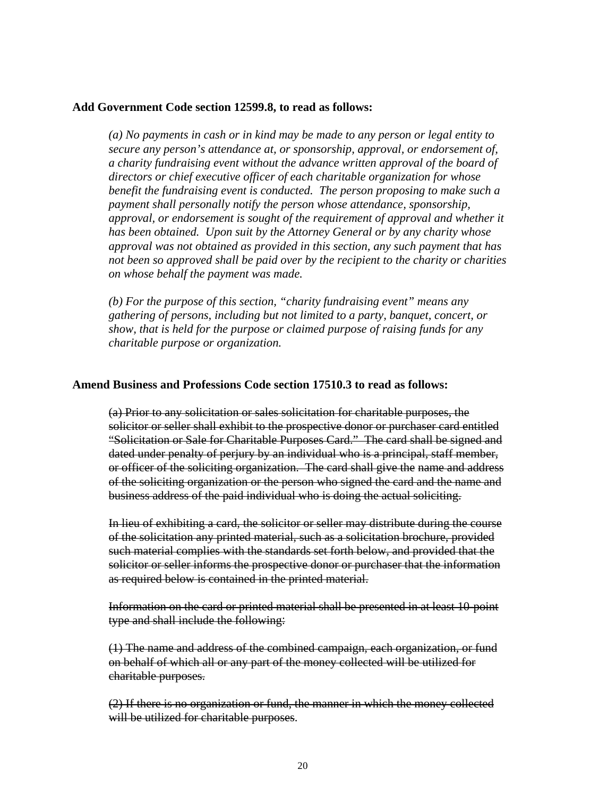# **Add Government Code section 12599.8, to read as follows:**

*(a) No payments in cash or in kind may be made to any person or legal entity to secure any person's attendance at, or sponsorship, approval, or endorsement of, a charity fundraising event without the advance written approval of the board of directors or chief executive officer of each charitable organization for whose benefit the fundraising event is conducted. The person proposing to make such a payment shall personally notify the person whose attendance, sponsorship, approval, or endorsement is sought of the requirement of approval and whether it has been obtained. Upon suit by the Attorney General or by any charity whose approval was not obtained as provided in this section, any such payment that has not been so approved shall be paid over by the recipient to the charity or charities on whose behalf the payment was made.*

 *(b) For the purpose of this section, "charity fundraising event" means any gathering of persons, including but not limited to a party, banquet, concert, or show, that is held for the purpose or claimed purpose of raising funds for any charitable purpose or organization.*

#### **Amend Business and Professions Code section 17510.3 to read as follows:**

(a) Prior to any solicitation or sales solicitation for charitable purposes, the solicitor or seller shall exhibit to the prospective donor or purchaser card entitled "Solicitation or Sale for Charitable Purposes Card." The card shall be signed and dated under penalty of perjury by an individual who is a principal, staff member, or officer of the soliciting organization. The card shall give the name and address of the soliciting organization or the person who signed the card and the name and business address of the paid individual who is doing the actual soliciting.

In lieu of exhibiting a card, the solicitor or seller may distribute during the course of the solicitation any printed material, such as a solicitation brochure, provided such material complies with the standards set forth below, and provided that the solicitor or seller informs the prospective donor or purchaser that the information as required below is contained in the printed material.

Information on the card or printed material shall be presented in at least 10-point type and shall include the following:

(1) The name and address of the combined campaign, each organization, or fund on behalf of which all or any part of the money collected will be utilized for charitable purposes.

 (2) If there is no organization or fund, the manner in which the money collected will be utilized for charitable purposes.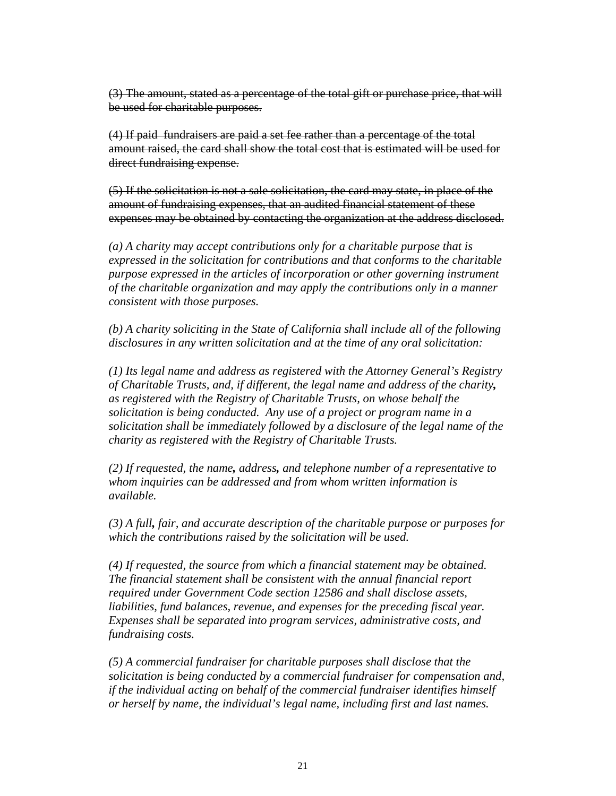(3) The amount, stated as a percentage of the total gift or purchase price, that will be used for charitable purposes.

 (4) If paid fundraisers are paid a set fee rather than a percentage of the total amount raised, the card shall show the total cost that is estimated will be used for direct fundraising expense.

(5) If the solicitation is not a sale solicitation, the card may state, in place of the amount of fundraising expenses, that an audited financial statement of these expenses may be obtained by contacting the organization at the address disclosed.

*(a) A charity may accept contributions only for a charitable purpose that is expressed in the solicitation for contributions and that conforms to the charitable purpose expressed in the articles of incorporation or other governing instrument of the charitable organization and may apply the contributions only in a manner consistent with those purposes.* 

*(b) A charity soliciting in the State of California shall include all of the following disclosures in any written solicitation and at the time of any oral solicitation:*

*(1) Its legal name and address as registered with the Attorney General's Registry of Charitable Trusts, and, if different, the legal name and address of the charity, as registered with the Registry of Charitable Trusts, on whose behalf the solicitation is being conducted. Any use of a project or program name in a solicitation shall be immediately followed by a disclosure of the legal name of the charity as registered with the Registry of Charitable Trusts.* 

*(2) If requested, the name, address, and telephone number of a representative to whom inquiries can be addressed and from whom written information is available.* 

*(3) A full, fair, and accurate description of the charitable purpose or purposes for which the contributions raised by the solicitation will be used.*

*(4) If requested, the source from which a financial statement may be obtained. The financial statement shall be consistent with the annual financial report required under Government Code section 12586 and shall disclose assets, liabilities, fund balances, revenue, and expenses for the preceding fiscal year. Expenses shall be separated into program services, administrative costs, and fundraising costs.* 

*(5) A commercial fundraiser for charitable purposes shall disclose that the solicitation is being conducted by a commercial fundraiser for compensation and, if the individual acting on behalf of the commercial fundraiser identifies himself or herself by name, the individual's legal name, including first and last names.*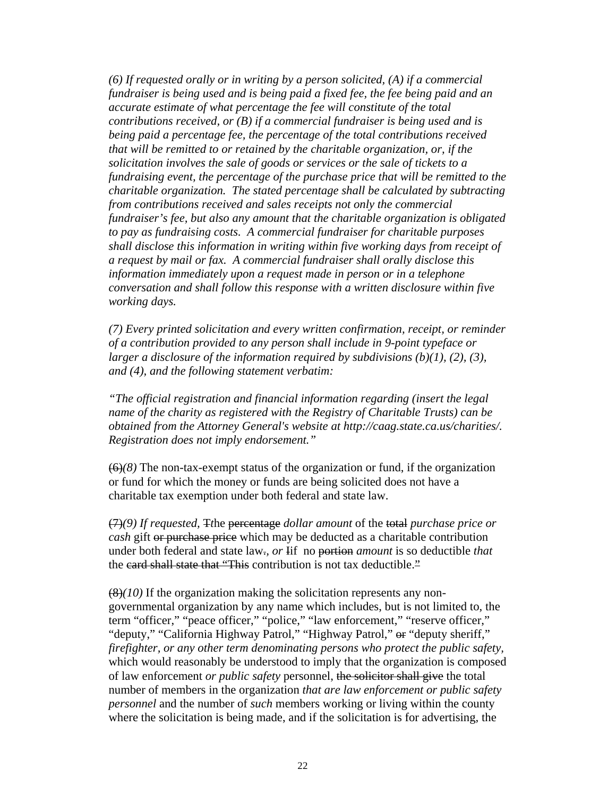*(6) If requested orally or in writing by a person solicited, (A) if a commercial fundraiser is being used and is being paid a fixed fee, the fee being paid and an accurate estimate of what percentage the fee will constitute of the total contributions received, or (B) if a commercial fundraiser is being used and is being paid a percentage fee, the percentage of the total contributions received that will be remitted to or retained by the charitable organization, or, if the solicitation involves the sale of goods or services or the sale of tickets to a fundraising event, the percentage of the purchase price that will be remitted to the charitable organization. The stated percentage shall be calculated by subtracting from contributions received and sales receipts not only the commercial fundraiser's fee, but also any amount that the charitable organization is obligated to pay as fundraising costs. A commercial fundraiser for charitable purposes shall disclose this information in writing within five working days from receipt of a request by mail or fax. A commercial fundraiser shall orally disclose this information immediately upon a request made in person or in a telephone conversation and shall follow this response with a written disclosure within five working days.* 

*(7) Every printed solicitation and every written confirmation, receipt, or reminder of a contribution provided to any person shall include in 9-point typeface or larger a disclosure of the information required by subdivisions (b)(1), (2), (3), and (4), and the following statement verbatim:*

*"The official registration and financial information regarding (insert the legal name of the charity as registered with the Registry of Charitable Trusts) can be obtained from the Attorney General's website at http://caag.state.ca.us/charities/. Registration does not imply endorsement."* 

(6)*(8)* The non-tax-exempt status of the organization or fund, if the organization or fund for which the money or funds are being solicited does not have a charitable tax exemption under both federal and state law.

(7)*(9) If requested,* T*t*he percentage *dollar amount* of the total *purchase price or cash* gift or purchase price which may be deducted as a charitable contribution under both federal and state law.*, or* Iif no portion *amount* is so deductible *that* the card shall state that "This contribution is not tax deductible."

(8)*(10)* If the organization making the solicitation represents any nongovernmental organization by any name which includes, but is not limited to, the term "officer," "peace officer," "police," "law enforcement," "reserve officer," "deputy," "California Highway Patrol," "Highway Patrol," or "deputy sheriff," *firefighter, or any other term denominating persons who protect the public safety,* which would reasonably be understood to imply that the organization is composed of law enforcement *or public safety* personnel, the solicitor shall give the total number of members in the organization *that are law enforcement or public safety personnel* and the number of *such* members working or living within the county where the solicitation is being made, and if the solicitation is for advertising, the